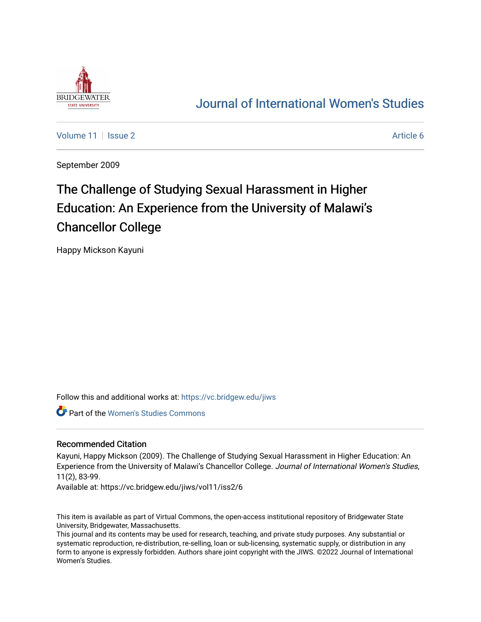

# [Journal of International Women's Studies](https://vc.bridgew.edu/jiws)

[Volume 11](https://vc.bridgew.edu/jiws/vol11) | [Issue 2](https://vc.bridgew.edu/jiws/vol11/iss2) Article 6

September 2009

# The Challenge of Studying Sexual Harassment in Higher Education: An Experience from the University of Malawi's Chancellor College

Happy Mickson Kayuni

Follow this and additional works at: [https://vc.bridgew.edu/jiws](https://vc.bridgew.edu/jiws?utm_source=vc.bridgew.edu%2Fjiws%2Fvol11%2Fiss2%2F6&utm_medium=PDF&utm_campaign=PDFCoverPages)

Part of the [Women's Studies Commons](http://network.bepress.com/hgg/discipline/561?utm_source=vc.bridgew.edu%2Fjiws%2Fvol11%2Fiss2%2F6&utm_medium=PDF&utm_campaign=PDFCoverPages) 

#### Recommended Citation

Kayuni, Happy Mickson (2009). The Challenge of Studying Sexual Harassment in Higher Education: An Experience from the University of Malawi's Chancellor College. Journal of International Women's Studies, 11(2), 83-99.

Available at: https://vc.bridgew.edu/jiws/vol11/iss2/6

This item is available as part of Virtual Commons, the open-access institutional repository of Bridgewater State University, Bridgewater, Massachusetts.

This journal and its contents may be used for research, teaching, and private study purposes. Any substantial or systematic reproduction, re-distribution, re-selling, loan or sub-licensing, systematic supply, or distribution in any form to anyone is expressly forbidden. Authors share joint copyright with the JIWS. ©2022 Journal of International Women's Studies.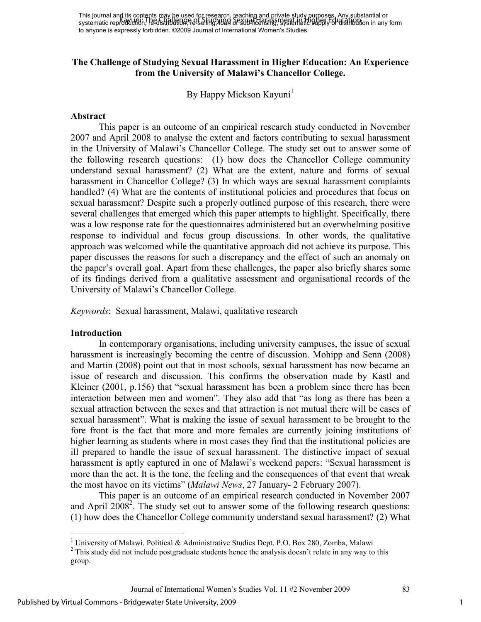#### **The Challenge of Studying Sexual Harassment in Higher Education: An Experience from the University of Malawi's Chancellor College.**

By Happy Mickson Kayuni<sup>1</sup>

#### **Abstract**

This paper is an outcome of an empirical research study conducted in November 2007 and April 2008 to analyse the extent and factors contributing to sexual harassment in the University of Malawi's Chancellor College. The study set out to answer some of the following research questions: (1) how does the Chancellor College community understand sexual harassment? (2) What are the extent, nature and forms of sexual harassment in Chancellor College? (3) In which ways are sexual harassment complaints handled? (4) What are the contents of institutional policies and procedures that focus on sexual harassment? Despite such a properly outlined purpose of this research, there were several challenges that emerged which this paper attempts to highlight. Specifically, there was a low response rate for the questionnaires administered but an overwhelming positive response to individual and focus group discussions. In other words, the qualitative approach was welcomed while the quantitative approach did not achieve its purpose. This paper discusses the reasons for such a discrepancy and the effect of such an anomaly on the paper's overall goal. Apart from these challenges, the paper also briefly shares some of its findings derived from a qualitative assessment and organisational records of the University of Malawi's Chancellor College.

*Keywords*: Sexual harassment, Malawi, qualitative research

#### **Introduction**

<u>.</u>

In contemporary organisations, including university campuses, the issue of sexual harassment is increasingly becoming the centre of discussion. Mohipp and Senn (2008) and Martin (2008) point out that in most schools, sexual harassment has now became an issue of research and discussion. This confirms the observation made by Kastl and Kleiner (2001, p.156) that "sexual harassment has been a problem since there has been interaction between men and women". They also add that "as long as there has been a sexual attraction between the sexes and that attraction is not mutual there will be cases of sexual harassment". What is making the issue of sexual harassment to be brought to the fore front is the fact that more and more females are currently joining institutions of higher learning as students where in most cases they find that the institutional policies are ill prepared to handle the issue of sexual harassment. The distinctive impact of sexual harassment is aptly captured in one of Malawi's weekend papers: "Sexual harassment is more than the act. It is the tone, the feeling and the consequences of that event that wreak the most havoc on its victims" (*Malawi News*, 27 January- 2 February 2007).

This paper is an outcome of an empirical research conducted in November 2007 and April  $2008^2$ . The study set out to answer some of the following research questions: (1) how does the Chancellor College community understand sexual harassment? (2) What

<sup>&</sup>lt;sup>1</sup> University of Malawi. Political & Administrative Studies Dept. P.O. Box 280, Zomba, Malawi

 $2^2$  This study did not include postgraduate students hence the analysis doesn't relate in any way to this group.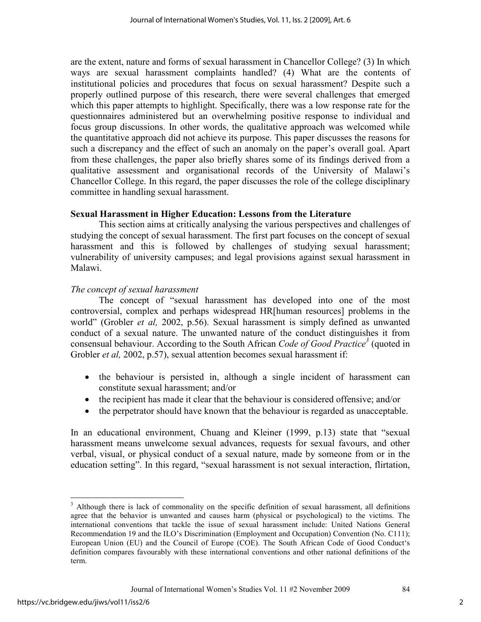are the extent, nature and forms of sexual harassment in Chancellor College? (3) In which ways are sexual harassment complaints handled? (4) What are the contents of institutional policies and procedures that focus on sexual harassment? Despite such a properly outlined purpose of this research, there were several challenges that emerged which this paper attempts to highlight. Specifically, there was a low response rate for the questionnaires administered but an overwhelming positive response to individual and focus group discussions. In other words, the qualitative approach was welcomed while the quantitative approach did not achieve its purpose. This paper discusses the reasons for such a discrepancy and the effect of such an anomaly on the paper's overall goal. Apart from these challenges, the paper also briefly shares some of its findings derived from a qualitative assessment and organisational records of the University of Malawi's Chancellor College. In this regard, the paper discusses the role of the college disciplinary committee in handling sexual harassment.

#### **Sexual Harassment in Higher Education: Lessons from the Literature**

This section aims at critically analysing the various perspectives and challenges of studying the concept of sexual harassment. The first part focuses on the concept of sexual harassment and this is followed by challenges of studying sexual harassment; vulnerability of university campuses; and legal provisions against sexual harassment in Malawi.

# *The concept of sexual harassment*

The concept of "sexual harassment has developed into one of the most controversial, complex and perhaps widespread HR[human resources] problems in the world" (Grobler *et al,* 2002, p.56). Sexual harassment is simply defined as unwanted conduct of a sexual nature. The unwanted nature of the conduct distinguishes it from consensual behaviour. According to the South African *Code of Good Practice<sup>3</sup>* (quoted in Grobler *et al,* 2002, p.57), sexual attention becomes sexual harassment if:

- the behaviour is persisted in, although a single incident of harassment can constitute sexual harassment; and/or
- the recipient has made it clear that the behaviour is considered offensive; and/or
- the perpetrator should have known that the behaviour is regarded as unacceptable.

In an educational environment, Chuang and Kleiner (1999, p.13) state that "sexual harassment means unwelcome sexual advances, requests for sexual favours, and other verbal, visual, or physical conduct of a sexual nature, made by someone from or in the education setting". In this regard, "sexual harassment is not sexual interaction, flirtation,

 $\overline{a}$ 

<sup>&</sup>lt;sup>3</sup> Although there is lack of commonality on the specific definition of sexual harassment, all definitions agree that the behavior is unwanted and causes harm (physical or psychological) to the victims. The international conventions that tackle the issue of sexual harassment include: United Nations General Recommendation 19 and the ILO's Discrimination (Employment and Occupation) Convention (No. C111); European Union (EU) and the Council of Europe (COE). The South African Code of Good Conduct's definition compares favourably with these international conventions and other national definitions of the term.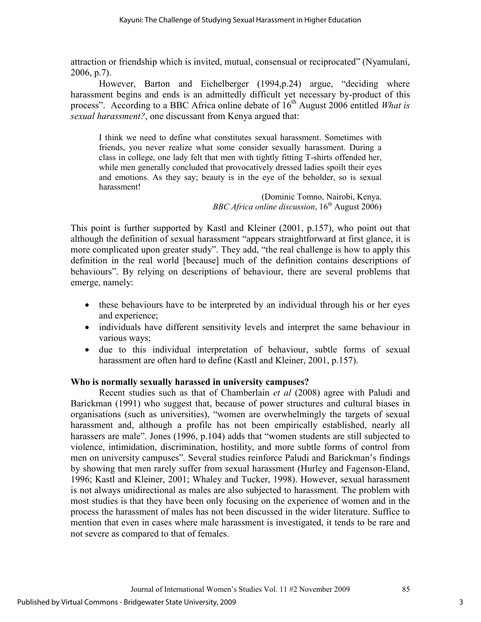attraction or friendship which is invited, mutual, consensual or reciprocated" (Nyamulani, 2006, p.7).

However, Barton and Eichelberger (1994,p.24) argue, "deciding where harassment begins and ends is an admittedly difficult yet necessary by-product of this process". According to a BBC Africa online debate of 16<sup>th</sup> August 2006 entitled *What is sexual harassment?*, one discussant from Kenya argued that:

I think we need to define what constitutes sexual harassment. Sometimes with friends, you never realize what some consider sexually harassment. During a class in college, one lady felt that men with tightly fitting T-shirts offended her, while men generally concluded that provocatively dressed ladies spoilt their eyes and emotions. As they say; beauty is in the eye of the beholder, so is sexual harassment!

(Dominic Tomno, Nairobi, Kenya. *BBC Africa online discussion*, 16<sup>th</sup> August 2006)

This point is further supported by Kastl and Kleiner (2001, p.157), who point out that although the definition of sexual harassment "appears straightforward at first glance, it is more complicated upon greater study". They add, "the real challenge is how to apply this definition in the real world [because] much of the definition contains descriptions of behaviours". By relying on descriptions of behaviour, there are several problems that emerge, namely:

- these behaviours have to be interpreted by an individual through his or her eyes and experience;
- individuals have different sensitivity levels and interpret the same behaviour in various ways;
- due to this individual interpretation of behaviour, subtle forms of sexual harassment are often hard to define (Kastl and Kleiner, 2001, p.157).

# **Who is normally sexually harassed in university campuses?**

Recent studies such as that of Chamberlain *et al* (2008) agree with Paludi and Barickman (1991) who suggest that, because of power structures and cultural biases in organisations (such as universities), "women are overwhelmingly the targets of sexual harassment and, although a profile has not been empirically established, nearly all harassers are male". Jones (1996, p.104) adds that "women students are still subjected to violence, intimidation, discrimination, hostility, and more subtle forms of control from men on university campuses". Several studies reinforce Paludi and Barickman's findings by showing that men rarely suffer from sexual harassment (Hurley and Fagenson-Eland, 1996; Kastl and Kleiner, 2001; Whaley and Tucker, 1998). However, sexual harassment is not always unidirectional as males are also subjected to harassment. The problem with most studies is that they have been only focusing on the experience of women and in the process the harassment of males has not been discussed in the wider literature. Suffice to mention that even in cases where male harassment is investigated, it tends to be rare and not severe as compared to that of females.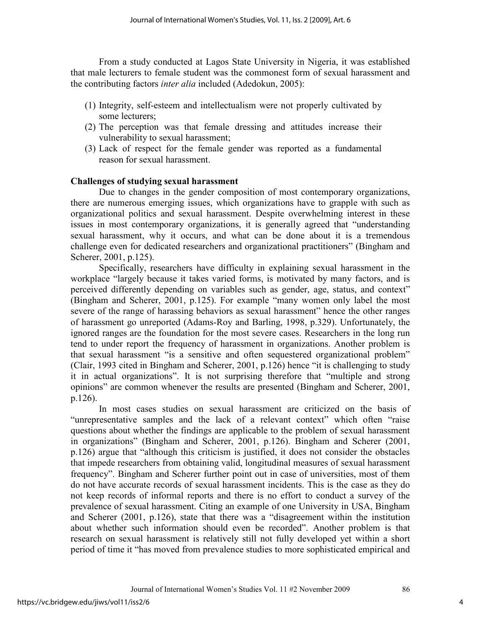From a study conducted at Lagos State University in Nigeria, it was established that male lecturers to female student was the commonest form of sexual harassment and the contributing factors *inter alia* included (Adedokun, 2005):

- (1) Integrity, self-esteem and intellectualism were not properly cultivated by some lecturers;
- (2) The perception was that female dressing and attitudes increase their vulnerability to sexual harassment;
- (3) Lack of respect for the female gender was reported as a fundamental reason for sexual harassment.

#### **Challenges of studying sexual harassment**

Due to changes in the gender composition of most contemporary organizations, there are numerous emerging issues, which organizations have to grapple with such as organizational politics and sexual harassment. Despite overwhelming interest in these issues in most contemporary organizations, it is generally agreed that "understanding sexual harassment, why it occurs, and what can be done about it is a tremendous challenge even for dedicated researchers and organizational practitioners" (Bingham and Scherer, 2001, p.125).

Specifically, researchers have difficulty in explaining sexual harassment in the workplace "largely because it takes varied forms, is motivated by many factors, and is perceived differently depending on variables such as gender, age, status, and context" (Bingham and Scherer, 2001, p.125). For example "many women only label the most severe of the range of harassing behaviors as sexual harassment" hence the other ranges of harassment go unreported (Adams-Roy and Barling, 1998, p.329). Unfortunately, the ignored ranges are the foundation for the most severe cases. Researchers in the long run tend to under report the frequency of harassment in organizations. Another problem is that sexual harassment "is a sensitive and often sequestered organizational problem" (Clair, 1993 cited in Bingham and Scherer, 2001, p.126) hence "it is challenging to study it in actual organizations". It is not surprising therefore that "multiple and strong opinions" are common whenever the results are presented (Bingham and Scherer, 2001, p.126).

In most cases studies on sexual harassment are criticized on the basis of "unrepresentative samples and the lack of a relevant context" which often "raise questions about whether the findings are applicable to the problem of sexual harassment in organizations" (Bingham and Scherer, 2001, p.126). Bingham and Scherer (2001, p.126) argue that "although this criticism is justified, it does not consider the obstacles that impede researchers from obtaining valid, longitudinal measures of sexual harassment frequency". Bingham and Scherer further point out in case of universities, most of them do not have accurate records of sexual harassment incidents. This is the case as they do not keep records of informal reports and there is no effort to conduct a survey of the prevalence of sexual harassment. Citing an example of one University in USA, Bingham and Scherer (2001, p.126), state that there was a "disagreement within the institution about whether such information should even be recorded". Another problem is that research on sexual harassment is relatively still not fully developed yet within a short period of time it "has moved from prevalence studies to more sophisticated empirical and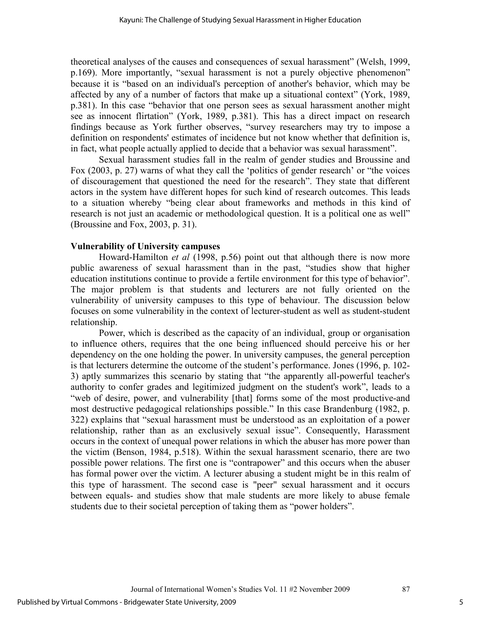theoretical analyses of the causes and consequences of sexual harassment" (Welsh, 1999, p.169). More importantly, "sexual harassment is not a purely objective phenomenon" because it is "based on an individual's perception of another's behavior, which may be affected by any of a number of factors that make up a situational context" (York, 1989, p.381). In this case "behavior that one person sees as sexual harassment another might see as innocent flirtation" (York, 1989, p.381). This has a direct impact on research findings because as York further observes, "survey researchers may try to impose a definition on respondents' estimates of incidence but not know whether that definition is, in fact, what people actually applied to decide that a behavior was sexual harassment".

Sexual harassment studies fall in the realm of gender studies and Broussine and Fox (2003, p. 27) warns of what they call the 'politics of gender research' or "the voices of discouragement that questioned the need for the research". They state that different actors in the system have different hopes for such kind of research outcomes. This leads to a situation whereby "being clear about frameworks and methods in this kind of research is not just an academic or methodological question. It is a political one as well" (Broussine and Fox, 2003, p. 31).

#### **Vulnerability of University campuses**

Howard-Hamilton *et al* (1998, p.56) point out that although there is now more public awareness of sexual harassment than in the past, "studies show that higher education institutions continue to provide a fertile environment for this type of behavior". The major problem is that students and lecturers are not fully oriented on the vulnerability of university campuses to this type of behaviour. The discussion below focuses on some vulnerability in the context of lecturer-student as well as student-student relationship.

Power, which is described as the capacity of an individual, group or organisation to influence others, requires that the one being influenced should perceive his or her dependency on the one holding the power. In university campuses, the general perception is that lecturers determine the outcome of the student's performance. Jones (1996, p. 102- 3) aptly summarizes this scenario by stating that "the apparently all-powerful teacher's authority to confer grades and legitimized judgment on the student's work", leads to a "web of desire, power, and vulnerability [that] forms some of the most productive-and most destructive pedagogical relationships possible." In this case Brandenburg (1982, p. 322) explains that "sexual harassment must be understood as an exploitation of a power relationship, rather than as an exclusively sexual issue". Consequently, Harassment occurs in the context of unequal power relations in which the abuser has more power than the victim (Benson, 1984, p.518). Within the sexual harassment scenario, there are two possible power relations. The first one is "contrapower" and this occurs when the abuser has formal power over the victim. A lecturer abusing a student might be in this realm of this type of harassment. The second case is "peer" sexual harassment and it occurs between equals- and studies show that male students are more likely to abuse female students due to their societal perception of taking them as "power holders".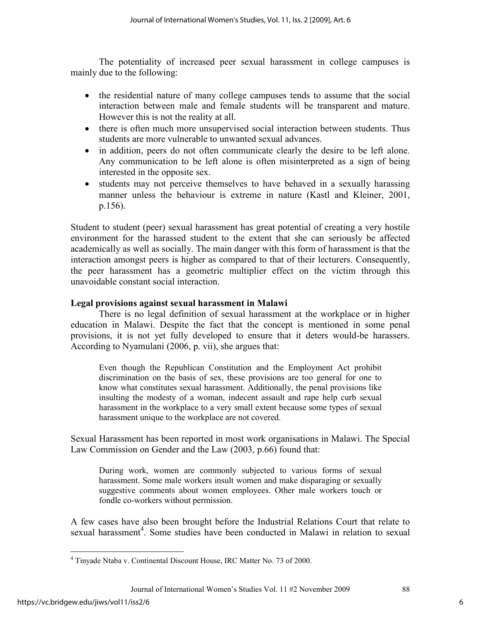The potentiality of increased peer sexual harassment in college campuses is mainly due to the following:

- the residential nature of many college campuses tends to assume that the social interaction between male and female students will be transparent and mature. However this is not the reality at all.
- there is often much more unsupervised social interaction between students. Thus students are more vulnerable to unwanted sexual advances.
- in addition, peers do not often communicate clearly the desire to be left alone. Any communication to be left alone is often misinterpreted as a sign of being interested in the opposite sex.
- students may not perceive themselves to have behaved in a sexually harassing manner unless the behaviour is extreme in nature (Kastl and Kleiner, 2001, p.156).

Student to student (peer) sexual harassment has great potential of creating a very hostile environment for the harassed student to the extent that she can seriously be affected academically as well as socially. The main danger with this form of harassment is that the interaction amongst peers is higher as compared to that of their lecturers. Consequently, the peer harassment has a geometric multiplier effect on the victim through this unavoidable constant social interaction.

#### **Legal provisions against sexual harassment in Malawi**

There is no legal definition of sexual harassment at the workplace or in higher education in Malawi. Despite the fact that the concept is mentioned in some penal provisions, it is not yet fully developed to ensure that it deters would-be harassers. According to Nyamulani (2006, p. vii), she argues that:

Even though the Republican Constitution and the Employment Act prohibit discrimination on the basis of sex, these provisions are too general for one to know what constitutes sexual harassment. Additionally, the penal provisions like insulting the modesty of a woman, indecent assault and rape help curb sexual harassment in the workplace to a very small extent because some types of sexual harassment unique to the workplace are not covered.

Sexual Harassment has been reported in most work organisations in Malawi. The Special Law Commission on Gender and the Law (2003, p.66) found that:

During work, women are commonly subjected to various forms of sexual harassment. Some male workers insult women and make disparaging or sexually suggestive comments about women employees. Other male workers touch or fondle co-workers without permission.

A few cases have also been brought before the Industrial Relations Court that relate to sexual harassment<sup>4</sup>. Some studies have been conducted in Malawi in relation to sexual

 $\overline{a}$ 

<sup>&</sup>lt;sup>4</sup> Tinyade Ntaba v. Continental Discount House, IRC Matter No. 73 of 2000.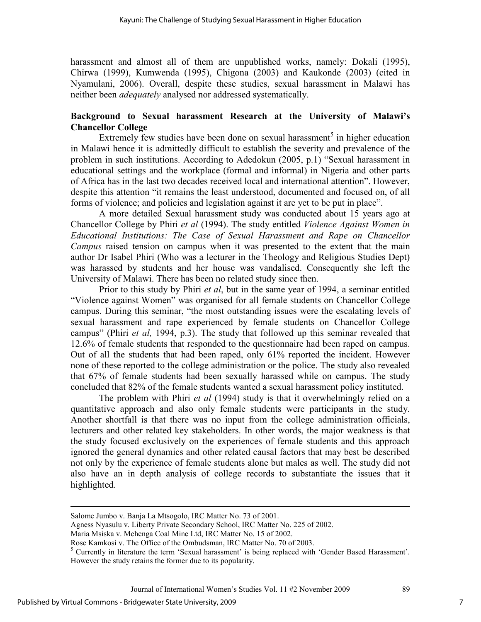harassment and almost all of them are unpublished works, namely: Dokali (1995), Chirwa (1999), Kumwenda (1995), Chigona (2003) and Kaukonde (2003) (cited in Nyamulani, 2006). Overall, despite these studies, sexual harassment in Malawi has neither been *adequately* analysed nor addressed systematically.

#### **Background to Sexual harassment Research at the University of Malawi's Chancellor College**

Extremely few studies have been done on sexual harassment<sup>5</sup> in higher education in Malawi hence it is admittedly difficult to establish the severity and prevalence of the problem in such institutions. According to Adedokun (2005, p.1) "Sexual harassment in educational settings and the workplace (formal and informal) in Nigeria and other parts of Africa has in the last two decades received local and international attention". However, despite this attention "it remains the least understood, documented and focused on, of all forms of violence; and policies and legislation against it are yet to be put in place".

A more detailed Sexual harassment study was conducted about 15 years ago at Chancellor College by Phiri *et al* (1994). The study entitled *Violence Against Women in Educational Institutions: The Case of Sexual Harassment and Rape on Chancellor Campus* raised tension on campus when it was presented to the extent that the main author Dr Isabel Phiri (Who was a lecturer in the Theology and Religious Studies Dept) was harassed by students and her house was vandalised. Consequently she left the University of Malawi. There has been no related study since then.

Prior to this study by Phiri *et al*, but in the same year of 1994, a seminar entitled "Violence against Women" was organised for all female students on Chancellor College campus. During this seminar, "the most outstanding issues were the escalating levels of sexual harassment and rape experienced by female students on Chancellor College campus" (Phiri *et al,* 1994, p.3). The study that followed up this seminar revealed that 12.6% of female students that responded to the questionnaire had been raped on campus. Out of all the students that had been raped, only 61% reported the incident. However none of these reported to the college administration or the police. The study also revealed that 67% of female students had been sexually harassed while on campus. The study concluded that 82% of the female students wanted a sexual harassment policy instituted.

The problem with Phiri *et al* (1994) study is that it overwhelmingly relied on a quantitative approach and also only female students were participants in the study. Another shortfall is that there was no input from the college administration officials, lecturers and other related key stakeholders. In other words, the major weakness is that the study focused exclusively on the experiences of female students and this approach ignored the general dynamics and other related causal factors that may best be described not only by the experience of female students alone but males as well. The study did not also have an in depth analysis of college records to substantiate the issues that it highlighted.

Agness Nyasulu v. Liberty Private Secondary School, IRC Matter No. 225 of 2002.

 $\overline{a}$ 

Salome Jumbo v. Banja La Mtsogolo, IRC Matter No. 73 of 2001.

Maria Msiska v. Mchenga Coal Mine Ltd, IRC Matter No. 15 of 2002.

Rose Kamkosi v. The Office of the Ombudsman, IRC Matter No. 70 of 2003.

<sup>&</sup>lt;sup>5</sup> Currently in literature the term 'Sexual harassment' is being replaced with 'Gender Based Harassment'. However the study retains the former due to its popularity.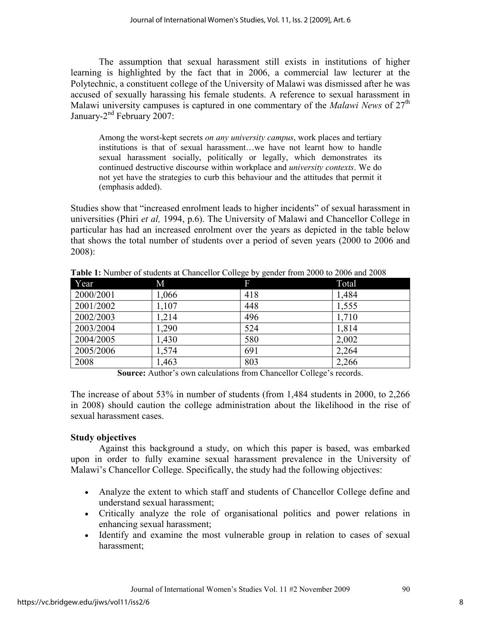The assumption that sexual harassment still exists in institutions of higher learning is highlighted by the fact that in 2006, a commercial law lecturer at the Polytechnic, a constituent college of the University of Malawi was dismissed after he was accused of sexually harassing his female students. A reference to sexual harassment in Malawi university campuses is captured in one commentary of the *Malawi News* of 27<sup>th</sup> January-2<sup>nd</sup> February 2007:

Among the worst-kept secrets *on any university campus*, work places and tertiary institutions is that of sexual harassment…we have not learnt how to handle sexual harassment socially, politically or legally, which demonstrates its continued destructive discourse within workplace and *university contexts*. We do not yet have the strategies to curb this behaviour and the attitudes that permit it (emphasis added).

Studies show that "increased enrolment leads to higher incidents" of sexual harassment in universities (Phiri *et al,* 1994, p.6). The University of Malawi and Chancellor College in particular has had an increased enrolment over the years as depicted in the table below that shows the total number of students over a period of seven years (2000 to 2006 and 2008):

| Year      | М     | F   | Total |
|-----------|-------|-----|-------|
| 2000/2001 | 1,066 | 418 | 1,484 |
| 2001/2002 | 1,107 | 448 | 1,555 |
| 2002/2003 | 1,214 | 496 | 1,710 |
| 2003/2004 | 1,290 | 524 | 1,814 |
| 2004/2005 | 1,430 | 580 | 2,002 |
| 2005/2006 | 1,574 | 691 | 2,264 |
| 2008      | 1,463 | 803 | 2,266 |

**Table 1:** Number of students at Chancellor College by gender from 2000 to 2006 and 2008

**Source:** Author's own calculations from Chancellor College's records.

The increase of about 53% in number of students (from 1,484 students in 2000, to 2,266 in 2008) should caution the college administration about the likelihood in the rise of sexual harassment cases.

# **Study objectives**

Against this background a study, on which this paper is based, was embarked upon in order to fully examine sexual harassment prevalence in the University of Malawi's Chancellor College. Specifically, the study had the following objectives:

- Analyze the extent to which staff and students of Chancellor College define and understand sexual harassment;
- Critically analyze the role of organisational politics and power relations in enhancing sexual harassment;
- Identify and examine the most vulnerable group in relation to cases of sexual harassment;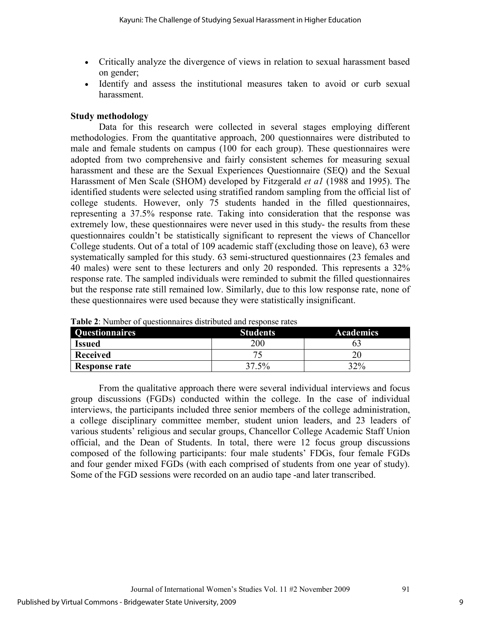- Critically analyze the divergence of views in relation to sexual harassment based on gender;
- Identify and assess the institutional measures taken to avoid or curb sexual harassment.

#### **Study methodology**

Data for this research were collected in several stages employing different methodologies. From the quantitative approach, 200 questionnaires were distributed to male and female students on campus (100 for each group). These questionnaires were adopted from two comprehensive and fairly consistent schemes for measuring sexual harassment and these are the Sexual Experiences Questionnaire (SEQ) and the Sexual Harassment of Men Scale (SHOM) developed by Fitzgerald *et a1* (1988 and 1995). The identified students were selected using stratified random sampling from the official list of college students. However, only 75 students handed in the filled questionnaires, representing a 37.5% response rate. Taking into consideration that the response was extremely low, these questionnaires were never used in this study- the results from these questionnaires couldn't be statistically significant to represent the views of Chancellor College students. Out of a total of 109 academic staff (excluding those on leave), 63 were systematically sampled for this study. 63 semi-structured questionnaires (23 females and 40 males) were sent to these lecturers and only 20 responded. This represents a 32% response rate. The sampled individuals were reminded to submit the filled questionnaires but the response rate still remained low. Similarly, due to this low response rate, none of these questionnaires were used because they were statistically insignificant.

| <b>Questionnaires</b> | <b>Students</b> | <b>Academics</b> |
|-----------------------|-----------------|------------------|
| <b>Issued</b>         | 200             |                  |
| Received              |                 |                  |
| Response rate         | 37.5%           | 32%              |

**Table 2**: Number of questionnaires distributed and response rates

From the qualitative approach there were several individual interviews and focus group discussions (FGDs) conducted within the college. In the case of individual interviews, the participants included three senior members of the college administration, a college disciplinary committee member, student union leaders, and 23 leaders of various students' religious and secular groups, Chancellor College Academic Staff Union official, and the Dean of Students. In total, there were 12 focus group discussions composed of the following participants: four male students' FDGs, four female FGDs and four gender mixed FGDs (with each comprised of students from one year of study). Some of the FGD sessions were recorded on an audio tape -and later transcribed.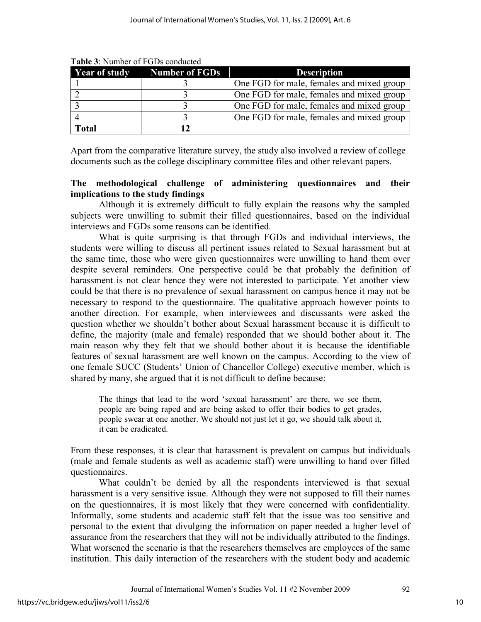| <b>Year of study</b> | <b>Number of FGDs</b> | <b>Description</b>                        |
|----------------------|-----------------------|-------------------------------------------|
|                      |                       | One FGD for male, females and mixed group |
|                      |                       | One FGD for male, females and mixed group |
|                      |                       | One FGD for male, females and mixed group |
|                      |                       | One FGD for male, females and mixed group |
| Total                |                       |                                           |

**Table 3**: Number of FGDs conducted

Apart from the comparative literature survey, the study also involved a review of college documents such as the college disciplinary committee files and other relevant papers.

#### **The methodological challenge of administering questionnaires and their implications to the study findings**

Although it is extremely difficult to fully explain the reasons why the sampled subjects were unwilling to submit their filled questionnaires, based on the individual interviews and FGDs some reasons can be identified.

What is quite surprising is that through FGDs and individual interviews, the students were willing to discuss all pertinent issues related to Sexual harassment but at the same time, those who were given questionnaires were unwilling to hand them over despite several reminders. One perspective could be that probably the definition of harassment is not clear hence they were not interested to participate. Yet another view could be that there is no prevalence of sexual harassment on campus hence it may not be necessary to respond to the questionnaire. The qualitative approach however points to another direction. For example, when interviewees and discussants were asked the question whether we shouldn't bother about Sexual harassment because it is difficult to define, the majority (male and female) responded that we should bother about it. The main reason why they felt that we should bother about it is because the identifiable features of sexual harassment are well known on the campus. According to the view of one female SUCC (Students' Union of Chancellor College) executive member, which is shared by many, she argued that it is not difficult to define because:

The things that lead to the word 'sexual harassment' are there, we see them, people are being raped and are being asked to offer their bodies to get grades, people swear at one another. We should not just let it go, we should talk about it, it can be eradicated.

From these responses, it is clear that harassment is prevalent on campus but individuals (male and female students as well as academic staff) were unwilling to hand over filled questionnaires.

What couldn't be denied by all the respondents interviewed is that sexual harassment is a very sensitive issue. Although they were not supposed to fill their names on the questionnaires, it is most likely that they were concerned with confidentiality. Informally, some students and academic staff felt that the issue was too sensitive and personal to the extent that divulging the information on paper needed a higher level of assurance from the researchers that they will not be individually attributed to the findings. What worsened the scenario is that the researchers themselves are employees of the same institution. This daily interaction of the researchers with the student body and academic

Journal of International Women's Studies Vol. 11 #2 November 2009 92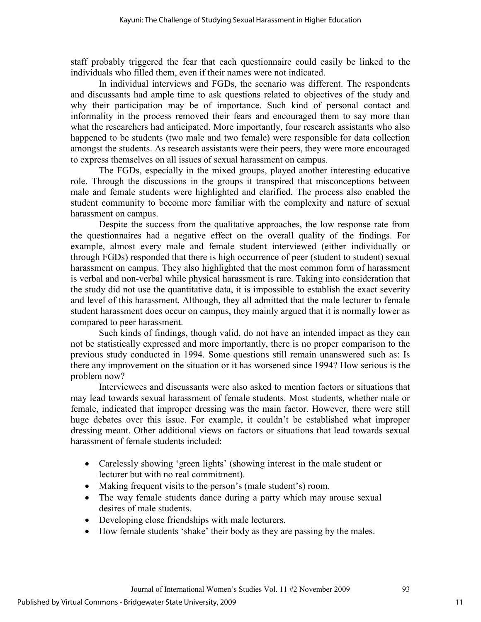staff probably triggered the fear that each questionnaire could easily be linked to the individuals who filled them, even if their names were not indicated.

In individual interviews and FGDs, the scenario was different. The respondents and discussants had ample time to ask questions related to objectives of the study and why their participation may be of importance. Such kind of personal contact and informality in the process removed their fears and encouraged them to say more than what the researchers had anticipated. More importantly, four research assistants who also happened to be students (two male and two female) were responsible for data collection amongst the students. As research assistants were their peers, they were more encouraged to express themselves on all issues of sexual harassment on campus.

The FGDs, especially in the mixed groups, played another interesting educative role. Through the discussions in the groups it transpired that misconceptions between male and female students were highlighted and clarified. The process also enabled the student community to become more familiar with the complexity and nature of sexual harassment on campus.

Despite the success from the qualitative approaches, the low response rate from the questionnaires had a negative effect on the overall quality of the findings. For example, almost every male and female student interviewed (either individually or through FGDs) responded that there is high occurrence of peer (student to student) sexual harassment on campus. They also highlighted that the most common form of harassment is verbal and non-verbal while physical harassment is rare. Taking into consideration that the study did not use the quantitative data, it is impossible to establish the exact severity and level of this harassment. Although, they all admitted that the male lecturer to female student harassment does occur on campus, they mainly argued that it is normally lower as compared to peer harassment.

Such kinds of findings, though valid, do not have an intended impact as they can not be statistically expressed and more importantly, there is no proper comparison to the previous study conducted in 1994. Some questions still remain unanswered such as: Is there any improvement on the situation or it has worsened since 1994? How serious is the problem now?

Interviewees and discussants were also asked to mention factors or situations that may lead towards sexual harassment of female students. Most students, whether male or female, indicated that improper dressing was the main factor. However, there were still huge debates over this issue. For example, it couldn't be established what improper dressing meant. Other additional views on factors or situations that lead towards sexual harassment of female students included:

- Carelessly showing 'green lights' (showing interest in the male student or lecturer but with no real commitment).
- Making frequent visits to the person's (male student's) room.
- The way female students dance during a party which may arouse sexual desires of male students.
- Developing close friendships with male lecturers.
- How female students 'shake' their body as they are passing by the males.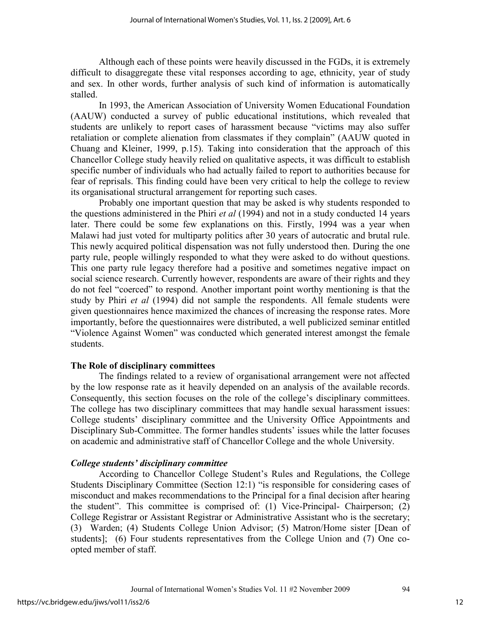Although each of these points were heavily discussed in the FGDs, it is extremely difficult to disaggregate these vital responses according to age, ethnicity, year of study and sex. In other words, further analysis of such kind of information is automatically stalled.

In 1993, the American Association of University Women Educational Foundation (AAUW) conducted a survey of public educational institutions, which revealed that students are unlikely to report cases of harassment because "victims may also suffer retaliation or complete alienation from classmates if they complain" (AAUW quoted in Chuang and Kleiner, 1999, p.15). Taking into consideration that the approach of this Chancellor College study heavily relied on qualitative aspects, it was difficult to establish specific number of individuals who had actually failed to report to authorities because for fear of reprisals. This finding could have been very critical to help the college to review its organisational structural arrangement for reporting such cases.

Probably one important question that may be asked is why students responded to the questions administered in the Phiri *et al* (1994) and not in a study conducted 14 years later. There could be some few explanations on this. Firstly, 1994 was a year when Malawi had just voted for multiparty politics after 30 years of autocratic and brutal rule. This newly acquired political dispensation was not fully understood then. During the one party rule, people willingly responded to what they were asked to do without questions. This one party rule legacy therefore had a positive and sometimes negative impact on social science research. Currently however, respondents are aware of their rights and they do not feel "coerced" to respond. Another important point worthy mentioning is that the study by Phiri *et al* (1994) did not sample the respondents. All female students were given questionnaires hence maximized the chances of increasing the response rates. More importantly, before the questionnaires were distributed, a well publicized seminar entitled "Violence Against Women" was conducted which generated interest amongst the female students.

# **The Role of disciplinary committees**

The findings related to a review of organisational arrangement were not affected by the low response rate as it heavily depended on an analysis of the available records. Consequently, this section focuses on the role of the college's disciplinary committees. The college has two disciplinary committees that may handle sexual harassment issues: College students' disciplinary committee and the University Office Appointments and Disciplinary Sub-Committee. The former handles students' issues while the latter focuses on academic and administrative staff of Chancellor College and the whole University.

# *College students' disciplinary committee*

According to Chancellor College Student's Rules and Regulations, the College Students Disciplinary Committee (Section 12:1) "is responsible for considering cases of misconduct and makes recommendations to the Principal for a final decision after hearing the student". This committee is comprised of: (1) Vice-Principal- Chairperson; (2) College Registrar or Assistant Registrar or Administrative Assistant who is the secretary; (3) Warden; (4) Students College Union Advisor; (5) Matron/Home sister [Dean of students]; (6) Four students representatives from the College Union and (7) One coopted member of staff.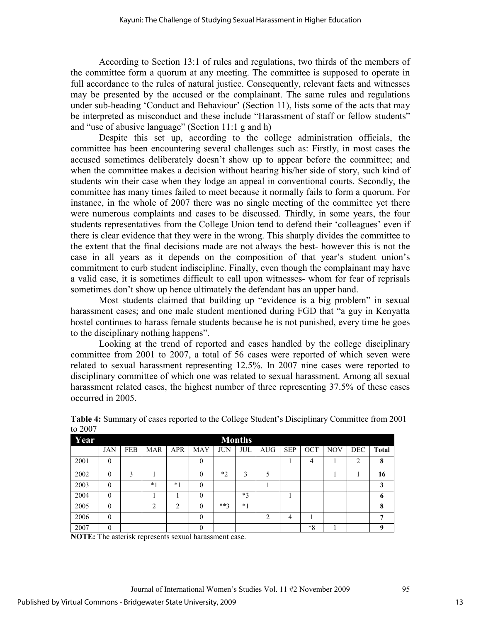According to Section 13:1 of rules and regulations, two thirds of the members of the committee form a quorum at any meeting. The committee is supposed to operate in full accordance to the rules of natural justice. Consequently, relevant facts and witnesses may be presented by the accused or the complainant. The same rules and regulations under sub-heading 'Conduct and Behaviour' (Section 11), lists some of the acts that may be interpreted as misconduct and these include "Harassment of staff or fellow students" and "use of abusive language" (Section 11:1 g and h)

Despite this set up, according to the college administration officials, the committee has been encountering several challenges such as: Firstly, in most cases the accused sometimes deliberately doesn't show up to appear before the committee; and when the committee makes a decision without hearing his/her side of story, such kind of students win their case when they lodge an appeal in conventional courts. Secondly, the committee has many times failed to meet because it normally fails to form a quorum. For instance, in the whole of 2007 there was no single meeting of the committee yet there were numerous complaints and cases to be discussed. Thirdly, in some years, the four students representatives from the College Union tend to defend their 'colleagues' even if there is clear evidence that they were in the wrong. This sharply divides the committee to the extent that the final decisions made are not always the best- however this is not the case in all years as it depends on the composition of that year's student union's commitment to curb student indiscipline. Finally, even though the complainant may have a valid case, it is sometimes difficult to call upon witnesses- whom for fear of reprisals sometimes don't show up hence ultimately the defendant has an upper hand.

Most students claimed that building up "evidence is a big problem" in sexual harassment cases; and one male student mentioned during FGD that "a guy in Kenyatta hostel continues to harass female students because he is not punished, every time he goes to the disciplinary nothing happens".

Looking at the trend of reported and cases handled by the college disciplinary committee from 2001 to 2007, a total of 56 cases were reported of which seven were related to sexual harassment representing 12.5%. In 2007 nine cases were reported to disciplinary committee of which one was related to sexual harassment. Among all sexual harassment related cases, the highest number of three representing 37.5% of these cases occurred in 2005.

| $\mathbf{w}$ $\mathbf{w}$ |            |            |                |                               |                  |            |               |            |            |            |            |                |              |
|---------------------------|------------|------------|----------------|-------------------------------|------------------|------------|---------------|------------|------------|------------|------------|----------------|--------------|
| Year                      |            |            |                |                               |                  |            | <b>Months</b> |            |            |            |            |                |              |
|                           | <b>JAN</b> | <b>FEB</b> | <b>MAR</b>     | <b>APR</b>                    | <b>MAY</b>       | <b>JUN</b> | <b>JUL</b>    | <b>AUG</b> | <b>SEP</b> | <b>OCT</b> | <b>NOV</b> | <b>DEC</b>     | <b>Total</b> |
| 2001                      | $\theta$   |            |                |                               | $\boldsymbol{0}$ |            |               |            |            | 4          |            | $\overline{c}$ | 8            |
| 2002                      | $\theta$   | 3          |                |                               | $\theta$         | $*_{2}$    | 3             | 5          |            |            |            |                | 16           |
| 2003                      | $\theta$   |            | $*1$           | $*1$                          | $\theta$         |            |               |            |            |            |            |                | 3            |
| 2004                      | $\theta$   |            |                |                               | $\theta$         |            | $*3$          |            |            |            |            |                | 6            |
| 2005                      | $\theta$   |            | $\overline{c}$ | $\mathfrak{D}_{\mathfrak{p}}$ | $\theta$         | $***3$     | $*1$          |            |            |            |            |                | 8            |
| 2006                      | $\theta$   |            |                |                               | $\theta$         |            |               | 2          | 4          |            |            |                | 7            |
| 2007                      | 0          |            |                |                               | $\theta$         |            |               |            |            | $*8$       |            |                | 9            |

**Table 4:** Summary of cases reported to the College Student's Disciplinary Committee from 2001 to 2007

**NOTE:** The asterisk represents sexual harassment case.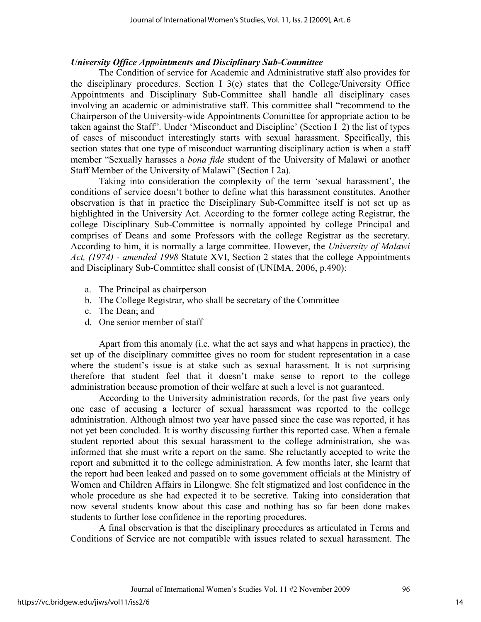#### *University Office Appointments and Disciplinary Sub-Committee*

The Condition of service for Academic and Administrative staff also provides for the disciplinary procedures. Section I 3(e) states that the College/University Office Appointments and Disciplinary Sub-Committee shall handle all disciplinary cases involving an academic or administrative staff. This committee shall "recommend to the Chairperson of the University-wide Appointments Committee for appropriate action to be taken against the Staff". Under 'Misconduct and Discipline' (Section I 2) the list of types of cases of misconduct interestingly starts with sexual harassment. Specifically, this section states that one type of misconduct warranting disciplinary action is when a staff member "Sexually harasses a *bona fide* student of the University of Malawi or another Staff Member of the University of Malawi" (Section I 2a).

Taking into consideration the complexity of the term 'sexual harassment', the conditions of service doesn't bother to define what this harassment constitutes. Another observation is that in practice the Disciplinary Sub-Committee itself is not set up as highlighted in the University Act. According to the former college acting Registrar, the college Disciplinary Sub-Committee is normally appointed by college Principal and comprises of Deans and some Professors with the college Registrar as the secretary. According to him, it is normally a large committee. However, the *University of Malawi Act, (1974) - amended 1998* Statute XVI, Section 2 states that the college Appointments and Disciplinary Sub-Committee shall consist of (UNIMA, 2006, p.490):

- a. The Principal as chairperson
- b. The College Registrar, who shall be secretary of the Committee
- c. The Dean; and
- d. One senior member of staff

Apart from this anomaly (i.e. what the act says and what happens in practice), the set up of the disciplinary committee gives no room for student representation in a case where the student's issue is at stake such as sexual harassment. It is not surprising therefore that student feel that it doesn't make sense to report to the college administration because promotion of their welfare at such a level is not guaranteed.

According to the University administration records, for the past five years only one case of accusing a lecturer of sexual harassment was reported to the college administration. Although almost two year have passed since the case was reported, it has not yet been concluded. It is worthy discussing further this reported case. When a female student reported about this sexual harassment to the college administration, she was informed that she must write a report on the same. She reluctantly accepted to write the report and submitted it to the college administration. A few months later, she learnt that the report had been leaked and passed on to some government officials at the Ministry of Women and Children Affairs in Lilongwe. She felt stigmatized and lost confidence in the whole procedure as she had expected it to be secretive. Taking into consideration that now several students know about this case and nothing has so far been done makes students to further lose confidence in the reporting procedures.

A final observation is that the disciplinary procedures as articulated in Terms and Conditions of Service are not compatible with issues related to sexual harassment. The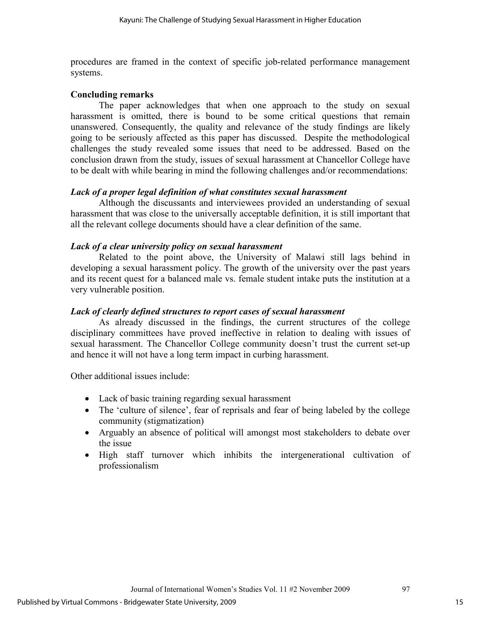procedures are framed in the context of specific job-related performance management systems.

#### **Concluding remarks**

The paper acknowledges that when one approach to the study on sexual harassment is omitted, there is bound to be some critical questions that remain unanswered. Consequently, the quality and relevance of the study findings are likely going to be seriously affected as this paper has discussed. Despite the methodological challenges the study revealed some issues that need to be addressed. Based on the conclusion drawn from the study, issues of sexual harassment at Chancellor College have to be dealt with while bearing in mind the following challenges and/or recommendations:

#### *Lack of a proper legal definition of what constitutes sexual harassment*

Although the discussants and interviewees provided an understanding of sexual harassment that was close to the universally acceptable definition, it is still important that all the relevant college documents should have a clear definition of the same.

#### *Lack of a clear university policy on sexual harassment*

Related to the point above, the University of Malawi still lags behind in developing a sexual harassment policy. The growth of the university over the past years and its recent quest for a balanced male vs. female student intake puts the institution at a very vulnerable position.

#### *Lack of clearly defined structures to report cases of sexual harassment*

As already discussed in the findings, the current structures of the college disciplinary committees have proved ineffective in relation to dealing with issues of sexual harassment. The Chancellor College community doesn't trust the current set-up and hence it will not have a long term impact in curbing harassment.

Other additional issues include:

- Lack of basic training regarding sexual harassment
- The 'culture of silence', fear of reprisals and fear of being labeled by the college community (stigmatization)
- Arguably an absence of political will amongst most stakeholders to debate over the issue
- High staff turnover which inhibits the intergenerational cultivation of professionalism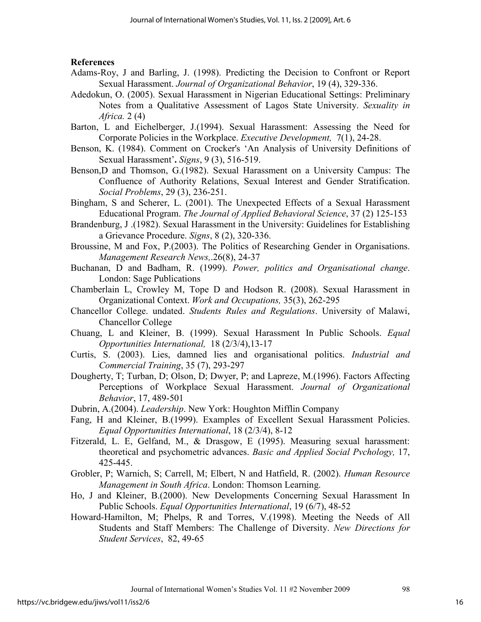#### **References**

- Adams-Roy, J and Barling, J. (1998). Predicting the Decision to Confront or Report Sexual Harassment. *Journal of Organizational Behavior*, 19 (4), 329-336.
- Adedokun, O. (2005). Sexual Harassment in Nigerian Educational Settings: Preliminary Notes from a Qualitative Assessment of Lagos State University. *Sexuality in Africa.* 2 (4)
- Barton, L and Eichelberger, J.(1994). Sexual Harassment: Assessing the Need for Corporate Policies in the Workplace. *Executive Development,* 7(1), 24-28.
- Benson, K. (1984). Comment on Crocker's 'An Analysis of University Definitions of Sexual Harassment'**.** *Signs*, 9 (3), 516-519.
- Benson,D and Thomson, G.(1982). Sexual Harassment on a University Campus: The Confluence of Authority Relations, Sexual Interest and Gender Stratification. *Social Problems*, 29 (3), 236-251.
- Bingham, S and Scherer, L. (2001). The Unexpected Effects of a Sexual Harassment Educational Program. *The Journal of Applied Behavioral Science*, 37 (2) 125-153
- Brandenburg, J .(1982). Sexual Harassment in the University: Guidelines for Establishing a Grievance Procedure. *Signs*, 8 (2), 320-336.
- Broussine, M and Fox, P.(2003). The Politics of Researching Gender in Organisations. *Management Research News,*.26(8), 24-37
- Buchanan, D and Badham, R. (1999). *Power, politics and Organisational change*. London: Sage Publications
- Chamberlain L, Crowley M, Tope D and Hodson R. (2008). Sexual Harassment in Organizational Context. *Work and Occupations,* 35(3), 262-295
- Chancellor College. undated. *Students Rules and Regulations*. University of Malawi, Chancellor College
- Chuang, L and Kleiner, B. (1999). Sexual Harassment In Public Schools. *Equal Opportunities International,* 18 (2/3/4),13-17
- Curtis, S. (2003). Lies, damned lies and organisational politics. *Industrial and Commercial Training*, 35 (7), 293-297
- Dougherty, T; Turban, D; Olson, D; Dwyer, P; and Lapreze, M.(1996). Factors Affecting Perceptions of Workplace Sexual Harassment. *Journal of Organizational Behavior*, 17, 489-501

Dubrin, A.(2004). *Leadership*. New York: Houghton Mifflin Company

- Fang, H and Kleiner, B.(1999). Examples of Excellent Sexual Harassment Policies. *Equal Opportunities International*, 18 (2/3/4), 8-12
- Fitzerald, L. E, Gelfand, M., & Drasgow, E (1995). Measuring sexual harassment: theoretical and psychometric advances. *Basic and Applied Social Pvchology,* 17, 425-445.
- Grobler, P; Warnich, S; Carrell, M; Elbert, N and Hatfield, R. (2002). *Human Resource Management in South Africa*. London: Thomson Learning.
- Ho, J and Kleiner, B.(2000). New Developments Concerning Sexual Harassment In Public Schools. *Equal Opportunities International*, 19 (6/7), 48-52
- Howard-Hamilton, M; Phelps, R and Torres, V.(1998). Meeting the Needs of All Students and Staff Members: The Challenge of Diversity. *New Directions for Student Services*, 82, 49-65